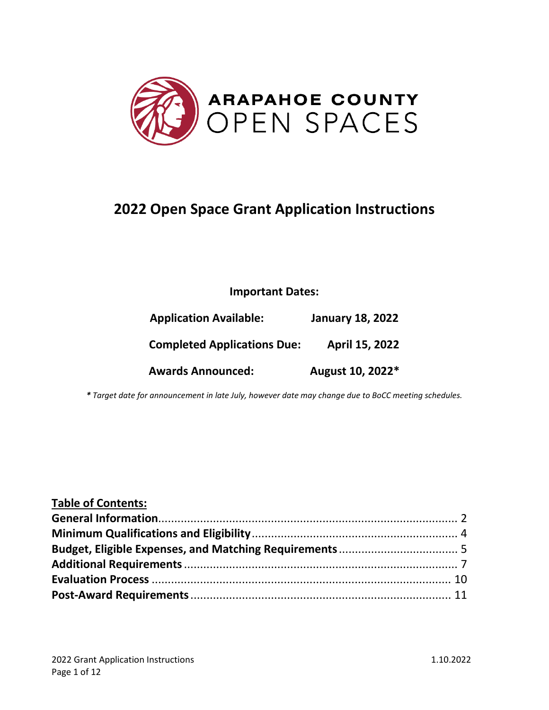

# **2022 Open Space Grant Application Instructions**

### **Important Dates:**

| <b>Application Available:</b>      | <b>January 18, 2022</b> |
|------------------------------------|-------------------------|
| <b>Completed Applications Due:</b> | April 15, 2022          |
| <b>Awards Announced:</b>           | August 10, 2022*        |

*\* Target date for announcement in late July, however date may change due to BoCC meeting schedules.*

| <b>Table of Contents:</b> |  |
|---------------------------|--|
|                           |  |
|                           |  |
|                           |  |
|                           |  |
|                           |  |
|                           |  |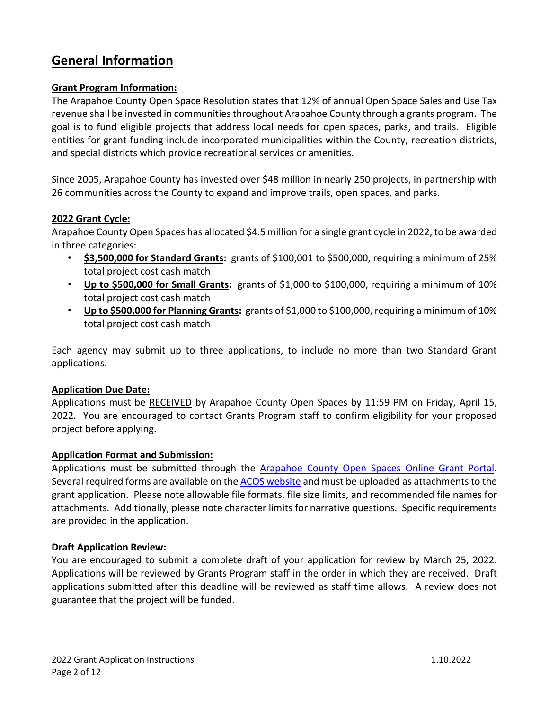### **General Information**

#### **Grant Program Information:**

The Arapahoe County Open Space Resolution states that 12% of annual Open Space Sales and Use Tax revenue shall be invested in communities throughout Arapahoe County through a grants program. The goal is to fund eligible projects that address local needs for open spaces, parks, and trails. Eligible entities for grant funding include incorporated municipalities within the County, recreation districts, and special districts which provide recreational services or amenities.

Since 2005, Arapahoe County has invested over \$48 million in nearly 250 projects, in partnership with 26 communities across the County to expand and improve trails, open spaces, and parks.

#### **2022 Grant Cycle:**

Arapahoe County Open Spaces has allocated \$4.5 million for a single grant cycle in 2022, to be awarded in three categories:

- **\$3,500,000 for Standard Grants:** grants of \$100,001 to \$500,000, requiring a minimum of 25% total project cost cash match
- **Up to \$500,000 for Small Grants:** grants of \$1,000 to \$100,000, requiring a minimum of 10% total project cost cash match
- **Up to \$500,000 for Planning Grants:** grants of \$1,000 to \$100,000, requiring a minimum of 10% total project cost cash match

Each agency may submit up to three applications, to include no more than two Standard Grant applications.

#### **Application Due Date:**

Applications must be RECEIVED by Arapahoe County Open Spaces by 11:59 PM on Friday, April 15, 2022. You are encouraged to contact Grants Program staff to confirm eligibility for your proposed project before applying.

#### **Application Format and Submission:**

Applications must be submitted through the **Arapahoe County Open Spaces Online Grant Portal**. Several required forms are available on the [ACOS website](http://www.arapahoegov.com/1444/Application-Material) and must be uploaded as attachments to the grant application. Please note allowable file formats, file size limits, and recommended file names for attachments. Additionally, please note character limits for narrative questions. Specific requirements are provided in the application.

#### **Draft Application Review:**

You are encouraged to submit a complete draft of your application for review by March 25, 2022. Applications will be reviewed by Grants Program staff in the order in which they are received. Draft applications submitted after this deadline will be reviewed as staff time allows. A review does not guarantee that the project will be funded.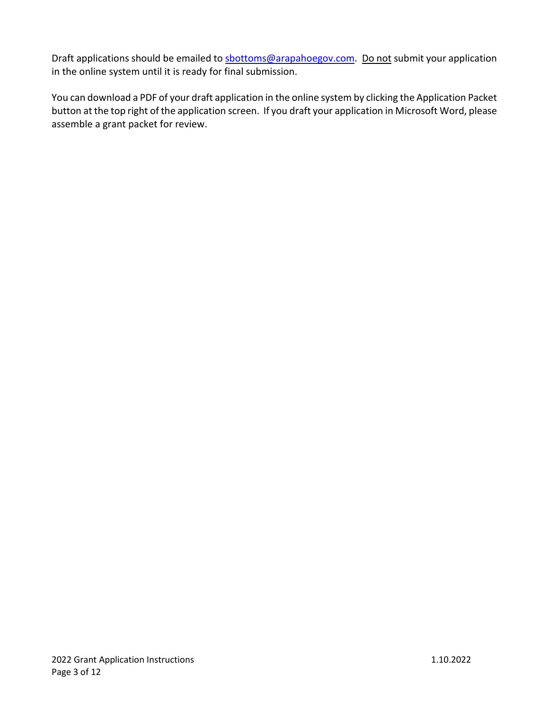Draft applications should be emailed to [sbottoms@arapahoegov.com.](mailto:sbottoms@arapahoegov.com) Do not submit your application in the online system until it is ready for final submission.

You can download a PDF of your draft application in the online system by clicking the Application Packet button at the top right of the application screen. If you draft your application in Microsoft Word, please assemble a grant packet for review.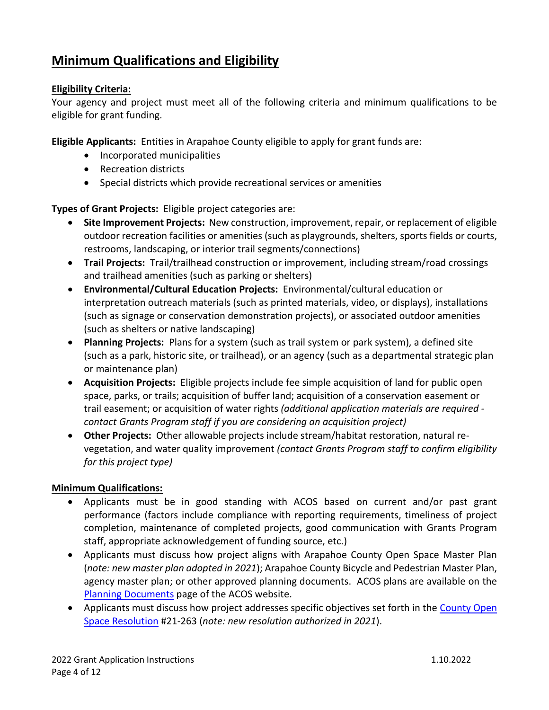## **Minimum Qualifications and Eligibility**

#### **Eligibility Criteria:**

Your agency and project must meet all of the following criteria and minimum qualifications to be eligible for grant funding.

**Eligible Applicants:** Entities in Arapahoe County eligible to apply for grant funds are:

- Incorporated municipalities
- Recreation districts
- Special districts which provide recreational services or amenities

**Types of Grant Projects:** Eligible project categories are:

- **Site Improvement Projects:** New construction, improvement, repair, or replacement of eligible outdoor recreation facilities or amenities (such as playgrounds, shelters, sports fields or courts, restrooms, landscaping, or interior trail segments/connections)
- **Trail Projects:** Trail/trailhead construction or improvement, including stream/road crossings and trailhead amenities (such as parking or shelters)
- **Environmental/Cultural Education Projects:** Environmental/cultural education or interpretation outreach materials (such as printed materials, video, or displays), installations (such as signage or conservation demonstration projects), or associated outdoor amenities (such as shelters or native landscaping)
- **Planning Projects:** Plans for a system (such as trail system or park system), a defined site (such as a park, historic site, or trailhead), or an agency (such as a departmental strategic plan or maintenance plan)
- **Acquisition Projects:** Eligible projects include fee simple acquisition of land for public open space, parks, or trails; acquisition of buffer land; acquisition of a conservation easement or trail easement; or acquisition of water rights *(additional application materials are required contact Grants Program staff if you are considering an acquisition project)*
- **Other Projects:** Other allowable projects include stream/habitat restoration, natural revegetation, and water quality improvement *(contact Grants Program staff to confirm eligibility for this project type)*

#### **Minimum Qualifications:**

- Applicants must be in good standing with ACOS based on current and/or past grant performance (factors include compliance with reporting requirements, timeliness of project completion, maintenance of completed projects, good communication with Grants Program staff, appropriate acknowledgement of funding source, etc.)
- Applicants must discuss how project aligns with Arapahoe County Open Space Master Plan (*note: new master plan adopted in 2021*); Arapahoe County Bicycle and Pedestrian Master Plan, agency master plan; or other approved planning documents. ACOS plans are available on the [Planning Documents](https://www.arapahoegov.com/2134/Planning-Documents) page of the ACOS website.
- Applicants must discuss how project addresses specific objectives set forth in the County Open [Space Resolution](http://www.arapahoegov.com/DocumentCenter/View/209) #21-263 (*note: new resolution authorized in 2021*).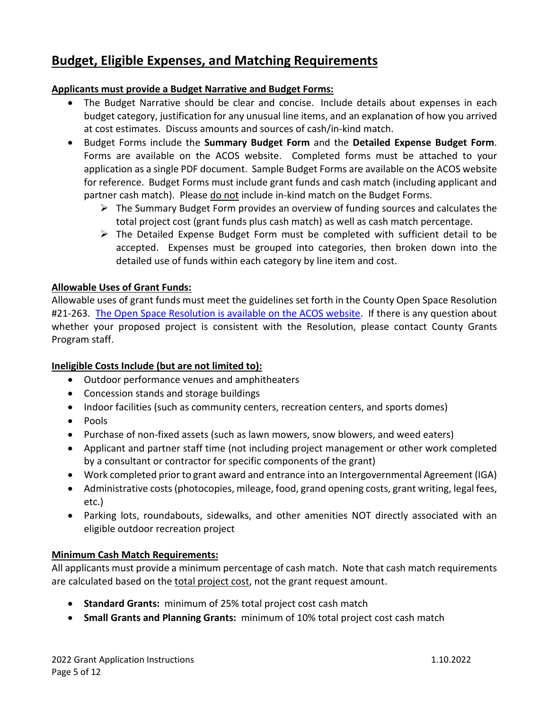### **Budget, Eligible Expenses, and Matching Requirements**

#### **Applicants must provide a Budget Narrative and Budget Forms:**

- The Budget Narrative should be clear and concise. Include details about expenses in each budget category, justification for any unusual line items, and an explanation of how you arrived at cost estimates. Discuss amounts and sources of cash/in-kind match.
- Budget Forms include the **Summary Budget Form** and the **Detailed Expense Budget Form**. Forms are available on the ACOS website. Completed forms must be attached to your application as a single PDF document. Sample Budget Forms are available on the ACOS website for reference. Budget Forms must include grant funds and cash match (including applicant and partner cash match). Please do not include in-kind match on the Budget Forms.
	- $\triangleright$  The Summary Budget Form provides an overview of funding sources and calculates the total project cost (grant funds plus cash match) as well as cash match percentage.
	- $\triangleright$  The Detailed Expense Budget Form must be completed with sufficient detail to be accepted. Expenses must be grouped into categories, then broken down into the detailed use of funds within each category by line item and cost.

#### **Allowable Uses of Grant Funds:**

Allowable uses of grant funds must meet the guidelines set forth in the County Open Space Resolution #21-263. [The Open Space Resolution is available](http://www.arapahoegov.com/DocumentCenter/View/209) on the ACOS website. If there is any question about whether your proposed project is consistent with the Resolution, please contact County Grants Program staff.

#### **Ineligible Costs Include (but are not limited to):**

- Outdoor performance venues and amphitheaters
- Concession stands and storage buildings
- Indoor facilities (such as community centers, recreation centers, and sports domes)
- Pools
- Purchase of non-fixed assets (such as lawn mowers, snow blowers, and weed eaters)
- Applicant and partner staff time (not including project management or other work completed by a consultant or contractor for specific components of the grant)
- Work completed prior to grant award and entrance into an Intergovernmental Agreement (IGA)
- Administrative costs (photocopies, mileage, food, grand opening costs, grant writing, legal fees, etc.)
- Parking lots, roundabouts, sidewalks, and other amenities NOT directly associated with an eligible outdoor recreation project

#### **Minimum Cash Match Requirements:**

All applicants must provide a minimum percentage of cash match. Note that cash match requirements are calculated based on the total project cost, not the grant request amount.

- **Standard Grants:** minimum of 25% total project cost cash match
- **Small Grants and Planning Grants:** minimum of 10% total project cost cash match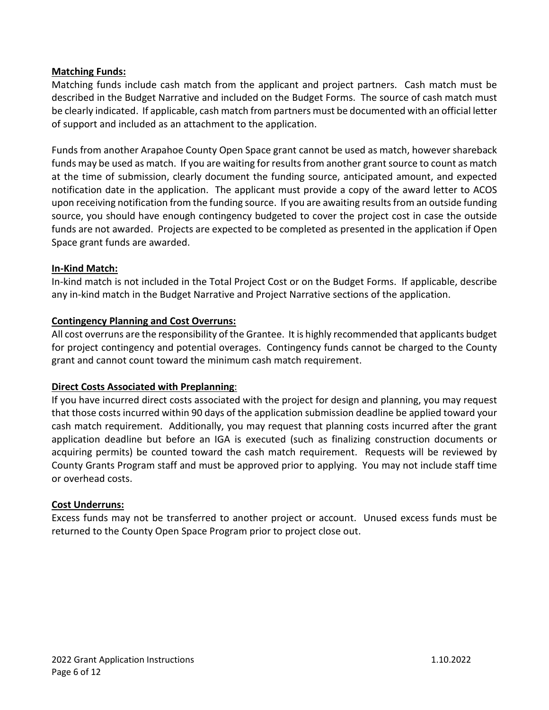#### **Matching Funds:**

Matching funds include cash match from the applicant and project partners. Cash match must be described in the Budget Narrative and included on the Budget Forms. The source of cash match must be clearly indicated. If applicable, cash match from partners must be documented with an official letter of support and included as an attachment to the application.

Funds from another Arapahoe County Open Space grant cannot be used as match, however shareback funds may be used as match. If you are waiting for results from another grant source to count as match at the time of submission, clearly document the funding source, anticipated amount, and expected notification date in the application. The applicant must provide a copy of the award letter to ACOS upon receiving notification from the funding source. If you are awaiting results from an outside funding source, you should have enough contingency budgeted to cover the project cost in case the outside funds are not awarded. Projects are expected to be completed as presented in the application if Open Space grant funds are awarded.

#### **In-Kind Match:**

In-kind match is not included in the Total Project Cost or on the Budget Forms. If applicable, describe any in-kind match in the Budget Narrative and Project Narrative sections of the application.

#### **Contingency Planning and Cost Overruns:**

All cost overruns are the responsibility of the Grantee. It is highly recommended that applicants budget for project contingency and potential overages. Contingency funds cannot be charged to the County grant and cannot count toward the minimum cash match requirement.

#### **Direct Costs Associated with Preplanning**:

If you have incurred direct costs associated with the project for design and planning, you may request that those costs incurred within 90 days of the application submission deadline be applied toward your cash match requirement. Additionally, you may request that planning costs incurred after the grant application deadline but before an IGA is executed (such as finalizing construction documents or acquiring permits) be counted toward the cash match requirement. Requests will be reviewed by County Grants Program staff and must be approved prior to applying. You may not include staff time or overhead costs.

#### **Cost Underruns:**

Excess funds may not be transferred to another project or account. Unused excess funds must be returned to the County Open Space Program prior to project close out.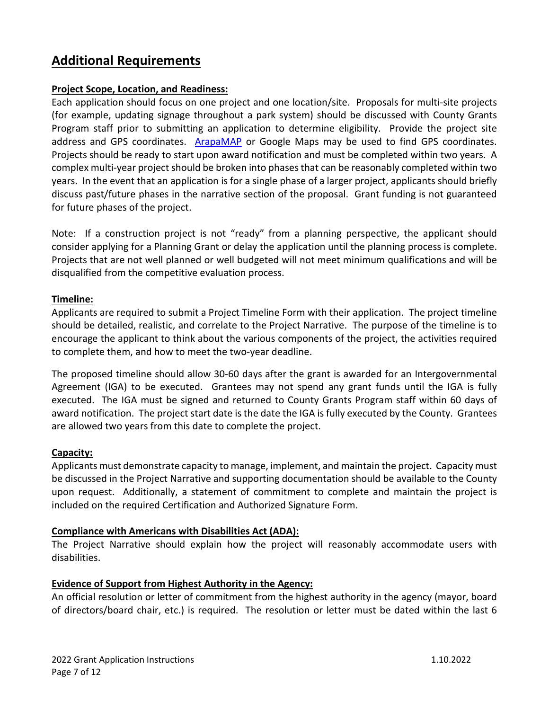### **Additional Requirements**

#### **Project Scope, Location, and Readiness:**

Each application should focus on one project and one location/site. Proposals for multi-site projects (for example, updating signage throughout a park system) should be discussed with County Grants Program staff prior to submitting an application to determine eligibility. Provide the project site address and GPS coordinates. [ArapaMAP](http://gis.arapahoegov.com/ArapaMAP/) or Google Maps may be used to find GPS coordinates. Projects should be ready to start upon award notification and must be completed within two years. A complex multi-year project should be broken into phases that can be reasonably completed within two years. In the event that an application is for a single phase of a larger project, applicants should briefly discuss past/future phases in the narrative section of the proposal. Grant funding is not guaranteed for future phases of the project.

Note: If a construction project is not "ready" from a planning perspective, the applicant should consider applying for a Planning Grant or delay the application until the planning process is complete. Projects that are not well planned or well budgeted will not meet minimum qualifications and will be disqualified from the competitive evaluation process.

#### **Timeline:**

Applicants are required to submit a Project Timeline Form with their application. The project timeline should be detailed, realistic, and correlate to the Project Narrative. The purpose of the timeline is to encourage the applicant to think about the various components of the project, the activities required to complete them, and how to meet the two-year deadline.

The proposed timeline should allow 30-60 days after the grant is awarded for an Intergovernmental Agreement (IGA) to be executed. Grantees may not spend any grant funds until the IGA is fully executed. The IGA must be signed and returned to County Grants Program staff within 60 days of award notification. The project start date is the date the IGA is fully executed by the County. Grantees are allowed two years from this date to complete the project.

#### **Capacity:**

Applicants must demonstrate capacity to manage, implement, and maintain the project. Capacity must be discussed in the Project Narrative and supporting documentation should be available to the County upon request. Additionally, a statement of commitment to complete and maintain the project is included on the required Certification and Authorized Signature Form.

#### **Compliance with Americans with Disabilities Act (ADA):**

The Project Narrative should explain how the project will reasonably accommodate users with disabilities.

#### **Evidence of Support from Highest Authority in the Agency:**

An official resolution or letter of commitment from the highest authority in the agency (mayor, board of directors/board chair, etc.) is required. The resolution or letter must be dated within the last 6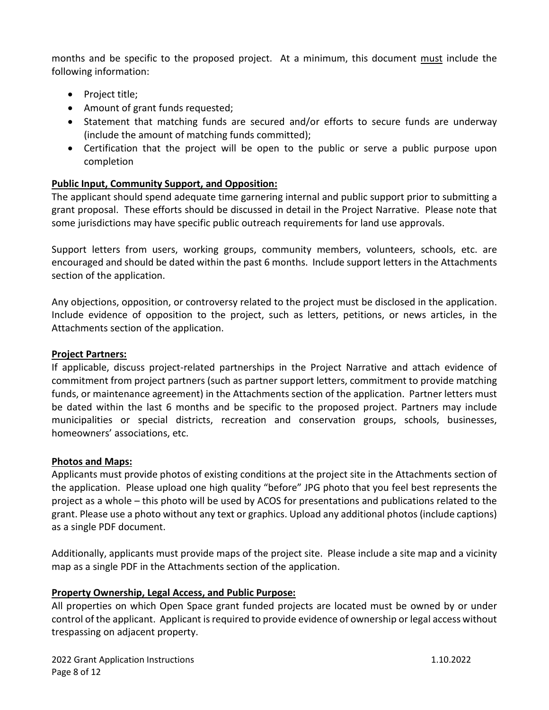months and be specific to the proposed project. At a minimum, this document must include the following information:

- Project title;
- Amount of grant funds requested;
- Statement that matching funds are secured and/or efforts to secure funds are underway (include the amount of matching funds committed);
- Certification that the project will be open to the public or serve a public purpose upon completion

#### **Public Input, Community Support, and Opposition:**

The applicant should spend adequate time garnering internal and public support prior to submitting a grant proposal. These efforts should be discussed in detail in the Project Narrative. Please note that some jurisdictions may have specific public outreach requirements for land use approvals.

Support letters from users, working groups, community members, volunteers, schools, etc. are encouraged and should be dated within the past 6 months. Include support letters in the Attachments section of the application.

Any objections, opposition, or controversy related to the project must be disclosed in the application. Include evidence of opposition to the project, such as letters, petitions, or news articles, in the Attachments section of the application.

#### **Project Partners:**

If applicable, discuss project-related partnerships in the Project Narrative and attach evidence of commitment from project partners (such as partner support letters, commitment to provide matching funds, or maintenance agreement) in the Attachments section of the application. Partner letters must be dated within the last 6 months and be specific to the proposed project. Partners may include municipalities or special districts, recreation and conservation groups, schools, businesses, homeowners' associations, etc.

#### **Photos and Maps:**

Applicants must provide photos of existing conditions at the project site in the Attachments section of the application. Please upload one high quality "before" JPG photo that you feel best represents the project as a whole – this photo will be used by ACOS for presentations and publications related to the grant. Please use a photo without any text or graphics. Upload any additional photos (include captions) as a single PDF document.

Additionally, applicants must provide maps of the project site. Please include a site map and a vicinity map as a single PDF in the Attachments section of the application.

#### **Property Ownership, Legal Access, and Public Purpose:**

All properties on which Open Space grant funded projects are located must be owned by or under control of the applicant. Applicant is required to provide evidence of ownership or legal access without trespassing on adjacent property.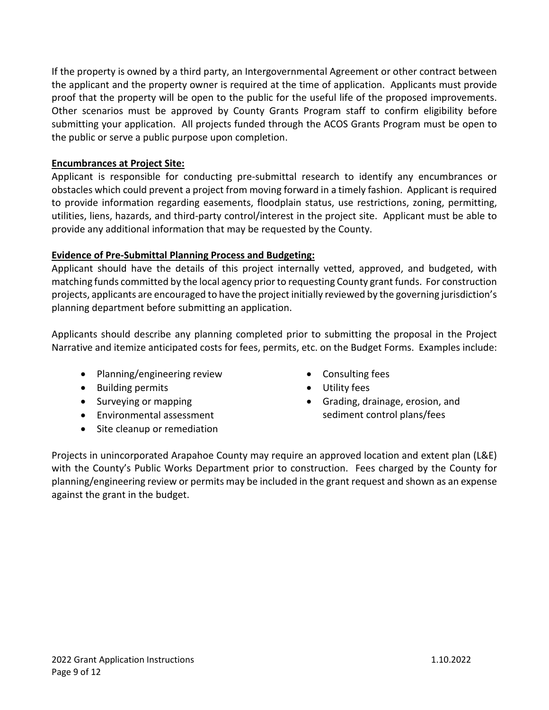If the property is owned by a third party, an Intergovernmental Agreement or other contract between the applicant and the property owner is required at the time of application. Applicants must provide proof that the property will be open to the public for the useful life of the proposed improvements. Other scenarios must be approved by County Grants Program staff to confirm eligibility before submitting your application. All projects funded through the ACOS Grants Program must be open to the public or serve a public purpose upon completion.

#### **Encumbrances at Project Site:**

Applicant is responsible for conducting pre-submittal research to identify any encumbrances or obstacles which could prevent a project from moving forward in a timely fashion. Applicant is required to provide information regarding easements, floodplain status, use restrictions, zoning, permitting, utilities, liens, hazards, and third-party control/interest in the project site. Applicant must be able to provide any additional information that may be requested by the County.

#### **Evidence of Pre-Submittal Planning Process and Budgeting:**

Applicant should have the details of this project internally vetted, approved, and budgeted, with matching funds committed by the local agency prior to requesting County grant funds. For construction projects, applicants are encouraged to have the project initially reviewed by the governing jurisdiction's planning department before submitting an application.

Applicants should describe any planning completed prior to submitting the proposal in the Project Narrative and itemize anticipated costs for fees, permits, etc. on the Budget Forms. Examples include:

- Planning/engineering review
- Building permits
- Surveying or mapping
- Environmental assessment
- Site cleanup or remediation
- Consulting fees
- Utility fees
- Grading, drainage, erosion, and sediment control plans/fees

Projects in unincorporated Arapahoe County may require an approved location and extent plan (L&E) with the County's Public Works Department prior to construction. Fees charged by the County for planning/engineering review or permits may be included in the grant request and shown as an expense against the grant in the budget.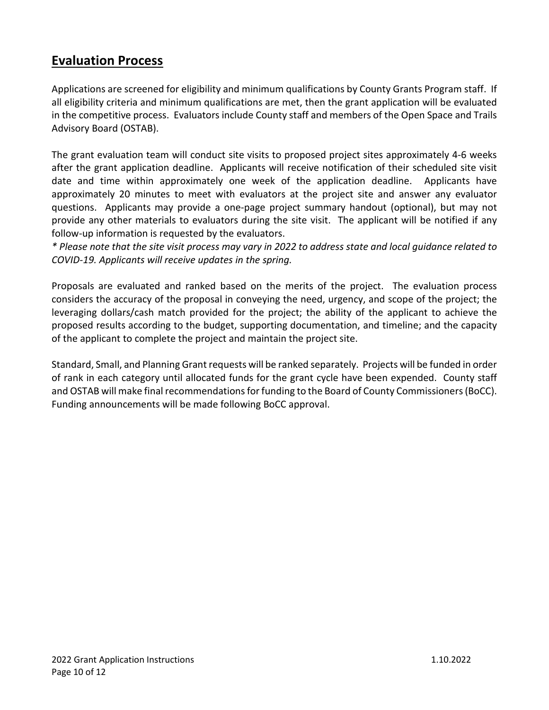### **Evaluation Process**

Applications are screened for eligibility and minimum qualifications by County Grants Program staff. If all eligibility criteria and minimum qualifications are met, then the grant application will be evaluated in the competitive process. Evaluators include County staff and members of the Open Space and Trails Advisory Board (OSTAB).

The grant evaluation team will conduct site visits to proposed project sites approximately 4-6 weeks after the grant application deadline. Applicants will receive notification of their scheduled site visit date and time within approximately one week of the application deadline. Applicants have approximately 20 minutes to meet with evaluators at the project site and answer any evaluator questions. Applicants may provide a one-page project summary handout (optional), but may not provide any other materials to evaluators during the site visit. The applicant will be notified if any follow-up information is requested by the evaluators.

*\* Please note that the site visit process may vary in 2022 to address state and local guidance related to COVID-19. Applicants will receive updates in the spring.*

Proposals are evaluated and ranked based on the merits of the project. The evaluation process considers the accuracy of the proposal in conveying the need, urgency, and scope of the project; the leveraging dollars/cash match provided for the project; the ability of the applicant to achieve the proposed results according to the budget, supporting documentation, and timeline; and the capacity of the applicant to complete the project and maintain the project site.

Standard, Small, and Planning Grant requests will be ranked separately. Projects will be funded in order of rank in each category until allocated funds for the grant cycle have been expended. County staff and OSTAB will make final recommendations for funding to the Board of County Commissioners (BoCC). Funding announcements will be made following BoCC approval.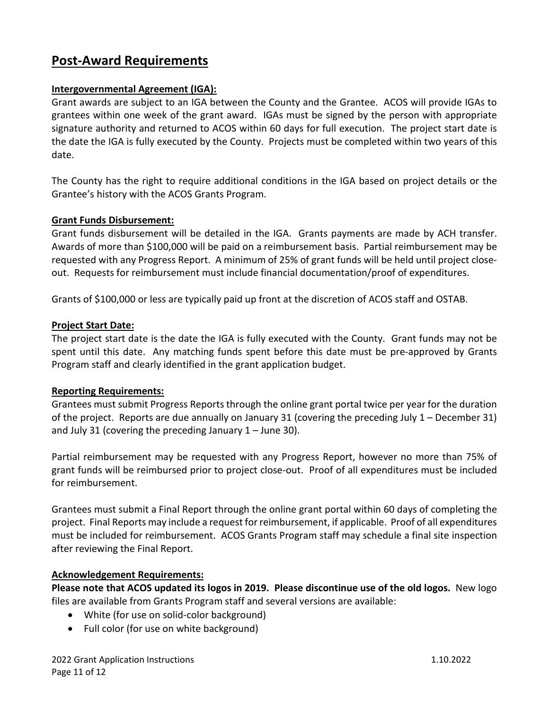### **Post-Award Requirements**

#### **Intergovernmental Agreement (IGA):**

Grant awards are subject to an IGA between the County and the Grantee. ACOS will provide IGAs to grantees within one week of the grant award. IGAs must be signed by the person with appropriate signature authority and returned to ACOS within 60 days for full execution. The project start date is the date the IGA is fully executed by the County. Projects must be completed within two years of this date.

The County has the right to require additional conditions in the IGA based on project details or the Grantee's history with the ACOS Grants Program.

#### **Grant Funds Disbursement:**

Grant funds disbursement will be detailed in the IGA. Grants payments are made by ACH transfer. Awards of more than \$100,000 will be paid on a reimbursement basis. Partial reimbursement may be requested with any Progress Report. A minimum of 25% of grant funds will be held until project closeout. Requests for reimbursement must include financial documentation/proof of expenditures.

Grants of \$100,000 or less are typically paid up front at the discretion of ACOS staff and OSTAB.

#### **Project Start Date:**

The project start date is the date the IGA is fully executed with the County. Grant funds may not be spent until this date. Any matching funds spent before this date must be pre-approved by Grants Program staff and clearly identified in the grant application budget.

#### **Reporting Requirements:**

Grantees must submit Progress Reports through the online grant portal twice per year for the duration of the project. Reports are due annually on January 31 (covering the preceding July 1 – December 31) and July 31 (covering the preceding January  $1 -$  June 30).

Partial reimbursement may be requested with any Progress Report, however no more than 75% of grant funds will be reimbursed prior to project close-out. Proof of all expenditures must be included for reimbursement.

Grantees must submit a Final Report through the online grant portal within 60 days of completing the project. Final Reports may include a request forreimbursement, if applicable. Proof of all expenditures must be included for reimbursement. ACOS Grants Program staff may schedule a final site inspection after reviewing the Final Report.

#### **Acknowledgement Requirements:**

**Please note that ACOS updated its logos in 2019. Please discontinue use of the old logos.** New logo files are available from Grants Program staff and several versions are available:

- White (for use on solid-color background)
- Full color (for use on white background)